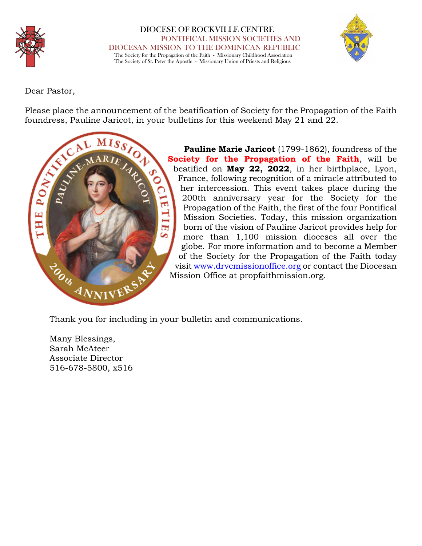

 DIOCESE OF ROCKVILLE CENTRE PONTIFICAL MISSION SOCIETIES AND DIOCESAN MISSION TO THE DOMINICAN REPUBLIC The Society for the Propagation of the Faith - Missionary Childhood Association The Society of St. Peter the Apostle - Missionary Union of Priests and Religious



Dear Pastor,

Please place the announcement of the beatification of Society for the Propagation of the Faith foundress, Pauline Jaricot, in your bulletins for this weekend May 21 and 22.



**Pauline Marie Jaricot** (1799-1862), foundress of the **Society for the Propagation of the Faith**, will be beatified on **May 22, 2022**, in her birthplace, Lyon, France, following recognition of a miracle attributed to her intercession. This event takes place during the 200th anniversary year for the Society for the Propagation of the Faith, the first of the four Pontifical Mission Societies. Today, this mission organization born of the vision of Pauline Jaricot provides help for more than 1,100 mission dioceses all over the globe. For more information and to become a Member of the Society for the Propagation of the Faith today visit www.drvcmissionoffice.org or contact the Diocesan Mission Office at propfaithmission.org.

Thank you for including in your bulletin and communications.

Many Blessings, Sarah McAteer Associate Director 516-678-5800, x516